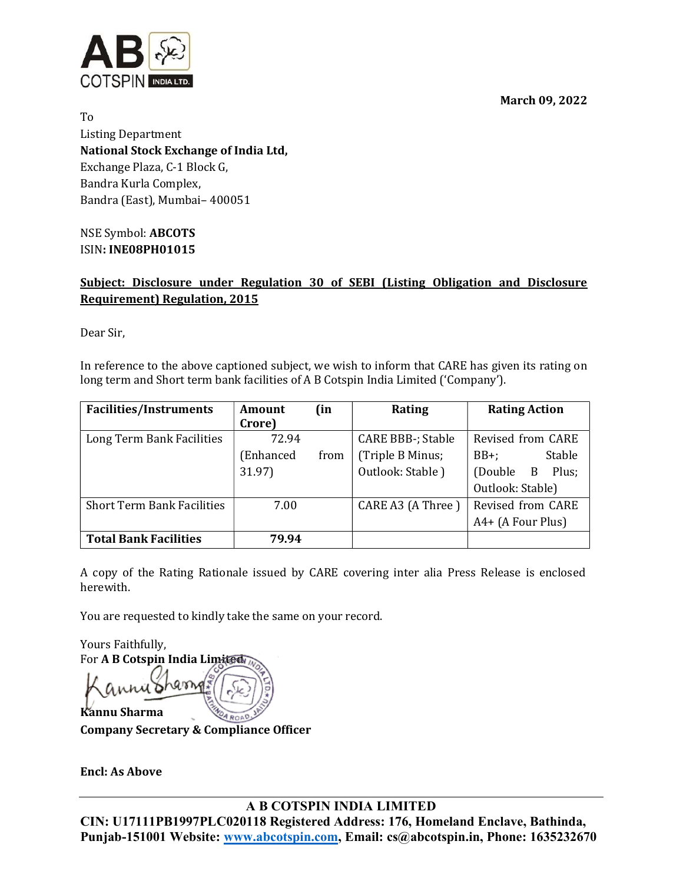March 09, 2022



To Listing Department National Stock Exchange of India Ltd, Exchange Plaza, C-1 Block G, Bandra Kurla Complex, Bandra (East), Mumbai– 400051

NSE Symbol: ABCOTS ISIN: INE08PH01015

# Subject: Disclosure under Regulation 30 of SEBI (Listing Obligation and Disclosure Requirement) Regulation, 2015

Dear Sir,

In reference to the above captioned subject, we wish to inform that CARE has given its rating on long term and Short term bank facilities of A B Cotspin India Limited ('Company').

| <b>Facilities/Instruments</b>     | Amount    | (in  | Rating                   | <b>Rating Action</b> |
|-----------------------------------|-----------|------|--------------------------|----------------------|
|                                   | Crore)    |      |                          |                      |
| Long Term Bank Facilities         | 72.94     |      | <b>CARE BBB-; Stable</b> | Revised from CARE    |
|                                   | (Enhanced | from | (Triple B Minus;         | Stable<br>$BB+$ :    |
|                                   | 31.97)    |      | Outlook: Stable)         | (Double B<br>Plus;   |
|                                   |           |      |                          | Outlook: Stable)     |
| <b>Short Term Bank Facilities</b> | 7.00      |      | CARE A3 (A Three)        | Revised from CARE    |
|                                   |           |      |                          | $A4+ (A Four Plus)$  |
| <b>Total Bank Facilities</b>      | 79.94     |      |                          |                      |

A copy of the Rating Rationale issued by CARE covering inter alia Press Release is enclosed herewith.

You are requested to kindly take the same on your record.

Yours Faithfully, For A B Cotspin India Limited Kannu Sharma

Company Secretary & Compliance Officer

Encl: As Above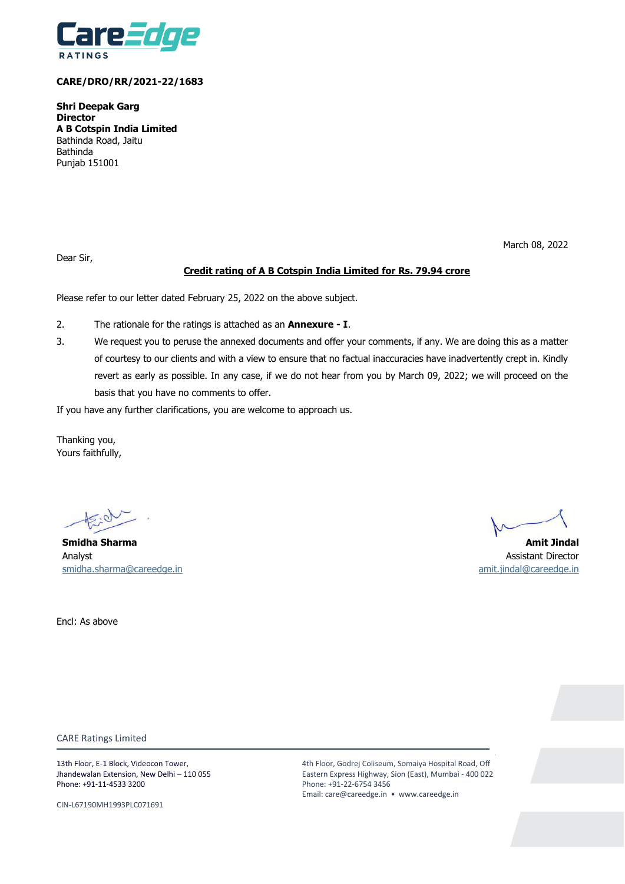

## **CARE/DRO/RR/2021-22/1683**

**Shri Deepak Garg Director A B Cotspin India Limited** Bathinda Road, Jaitu Bathinda Punjab 151001

Dear Sir,

### March 08, 2022

# **Credit rating of A B Cotspin India Limited for Rs. 79.94 crore**

Please refer to our letter dated February 25, 2022 on the above subject.

- 2. The rationale for the ratings is attached as an **Annexure - I**.
- 3. We request you to peruse the annexed documents and offer your comments, if any. We are doing this as a matter of courtesy to our clients and with a view to ensure that no factual inaccuracies have inadvertently crept in. Kindly revert as early as possible. In any case, if we do not hear from you by March 09, 2022; we will proceed on the basis that you have no comments to offer.

If you have any further clarifications, you are welcome to approach us.

Thanking you, Yours faithfully,

**Smidha Sharma Amit Jindal**  Analyst Assistant Director [smidha.sharma@careedge.in](mailto:smidha.sharma@careedge.in) [amit.jindal@careedge.in](mailto:amit.jindal@careedge.in)

Encl: As above

CARE Ratings Limited

13th Floor, E-1 Block, Videocon Tower, Jhandewalan Extension, New Delhi – 110 055 Phone: +91-11-4533 3200

CIN-L67190MH1993PLC071691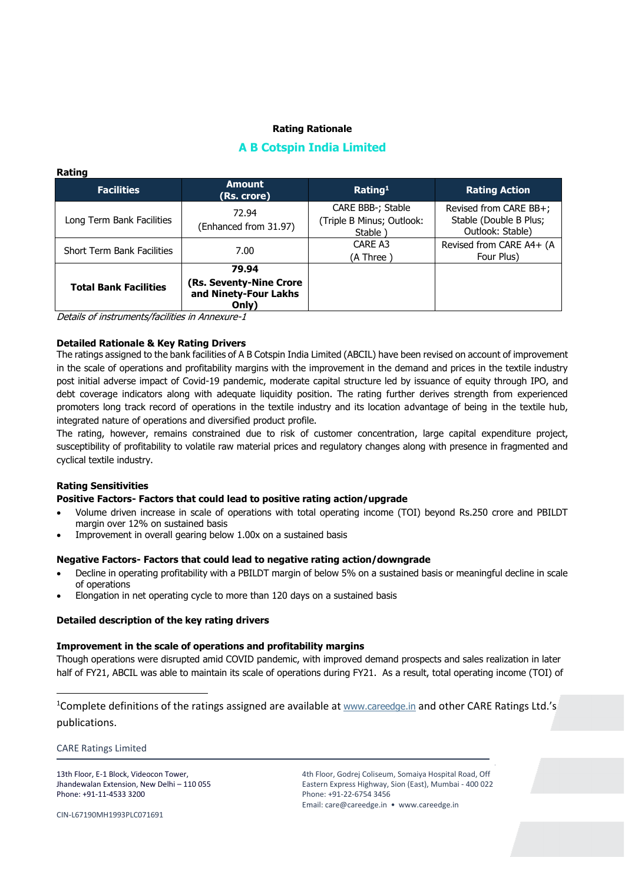# **Rating Rationale**

# **A B Cotspin India Limited**

| Rauny                             |                                                           |                                                            |                                                                      |  |
|-----------------------------------|-----------------------------------------------------------|------------------------------------------------------------|----------------------------------------------------------------------|--|
| <b>Facilities</b>                 | <b>Amount</b><br>(Rs. crore)                              | Rating <sup>1</sup>                                        | <b>Rating Action</b>                                                 |  |
| Long Term Bank Facilities         | 72.94<br>(Enhanced from 31.97)                            | CARE BBB-; Stable<br>(Triple B Minus; Outlook:<br>Stable ) | Revised from CARE BB+;<br>Stable (Double B Plus;<br>Outlook: Stable) |  |
| <b>Short Term Bank Facilities</b> | 7.00                                                      | CARE A3<br>(A Three)                                       | Revised from CARE A4+ (A<br>Four Plus)                               |  |
|                                   | 79.94                                                     |                                                            |                                                                      |  |
| <b>Total Bank Facilities</b>      | (Rs. Seventy-Nine Crore<br>and Ninety-Four Lakhs<br>Only) |                                                            |                                                                      |  |

Details of instruments/facilities in Annexure-1

## **Detailed Rationale & Key Rating Drivers**

The ratings assigned to the bank facilities of A B Cotspin India Limited (ABCIL) have been revised on account of improvement in the scale of operations and profitability margins with the improvement in the demand and prices in the textile industry post initial adverse impact of Covid-19 pandemic, moderate capital structure led by issuance of equity through IPO, and debt coverage indicators along with adequate liquidity position. The rating further derives strength from experienced promoters long track record of operations in the textile industry and its location advantage of being in the textile hub, integrated nature of operations and diversified product profile.

The rating, however, remains constrained due to risk of customer concentration, large capital expenditure project, susceptibility of profitability to volatile raw material prices and regulatory changes along with presence in fragmented and cyclical textile industry.

## **Rating Sensitivities**

**Rating**

## **Positive Factors- Factors that could lead to positive rating action/upgrade**

- Volume driven increase in scale of operations with total operating income (TOI) beyond Rs.250 crore and PBILDT margin over 12% on sustained basis
- Improvement in overall gearing below 1.00x on a sustained basis

### **Negative Factors- Factors that could lead to negative rating action/downgrade**

- Decline in operating profitability with a PBILDT margin of below 5% on a sustained basis or meaningful decline in scale of operations
- Elongation in net operating cycle to more than 120 days on a sustained basis

### **Detailed description of the key rating drivers**

### **Improvement in the scale of operations and profitability margins**

Though operations were disrupted amid COVID pandemic, with improved demand prospects and sales realization in later half of FY21, ABCIL was able to maintain its scale of operations during FY21. As a result, total operating income (TOI) of

<sup>1</sup>Complete definitions of the ratings assigned are available at [www.careedge.in](http://www.careedge.in/) and other CARE Ratings Ltd.'s publications.

CARE Ratings Limited

 $\overline{\phantom{a}}$ 

13th Floor, E-1 Block, Videocon Tower, Jhandewalan Extension, New Delhi – 110 055 Phone: +91-11-4533 3200

4th Floor, Godrej Coliseum, Somaiya Hospital Road, Off Eastern Express Highway, Sion (East), Mumbai - 400 022 Phone: +91-22-6754 3456 Email: care@careedge.in • www.careedge.in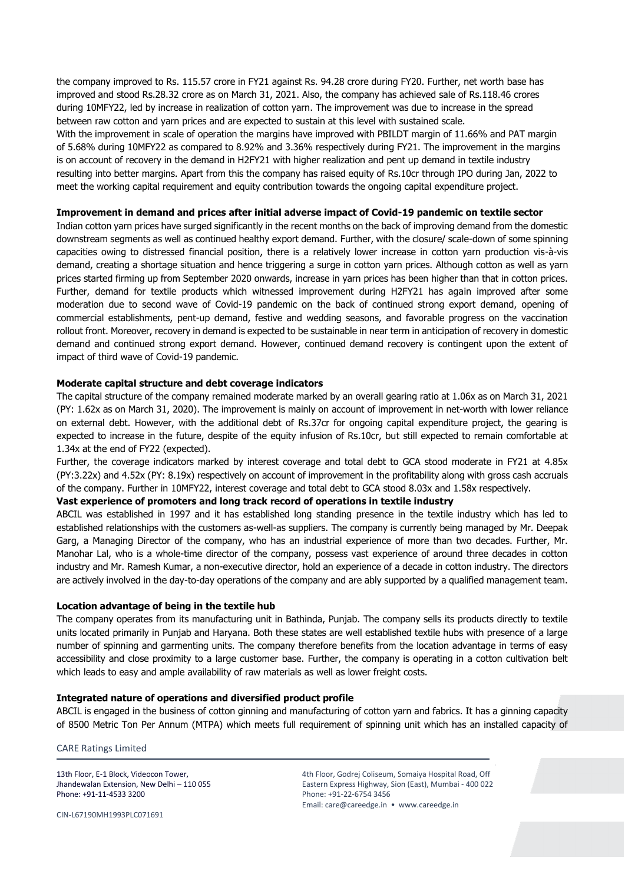the company improved to Rs. 115.57 crore in FY21 against Rs. 94.28 crore during FY20. Further, net worth base has improved and stood Rs.28.32 crore as on March 31, 2021. Also, the company has achieved sale of Rs.118.46 crores during 10MFY22, led by increase in realization of cotton yarn. The improvement was due to increase in the spread between raw cotton and yarn prices and are expected to sustain at this level with sustained scale.

With the improvement in scale of operation the margins have improved with PBILDT margin of 11.66% and PAT margin of 5.68% during 10MFY22 as compared to 8.92% and 3.36% respectively during FY21. The improvement in the margins is on account of recovery in the demand in H2FY21 with higher realization and pent up demand in textile industry resulting into better margins. Apart from this the company has raised equity of Rs.10cr through IPO during Jan, 2022 to meet the working capital requirement and equity contribution towards the ongoing capital expenditure project.

## **Improvement in demand and prices after initial adverse impact of Covid-19 pandemic on textile sector**

Indian cotton yarn prices have surged significantly in the recent months on the back of improving demand from the domestic downstream segments as well as continued healthy export demand. Further, with the closure/ scale-down of some spinning capacities owing to distressed financial position, there is a relatively lower increase in cotton yarn production vis-à-vis demand, creating a shortage situation and hence triggering a surge in cotton yarn prices. Although cotton as well as yarn prices started firming up from September 2020 onwards, increase in yarn prices has been higher than that in cotton prices. Further, demand for textile products which witnessed improvement during H2FY21 has again improved after some moderation due to second wave of Covid-19 pandemic on the back of continued strong export demand, opening of commercial establishments, pent-up demand, festive and wedding seasons, and favorable progress on the vaccination rollout front. Moreover, recovery in demand is expected to be sustainable in near term in anticipation of recovery in domestic demand and continued strong export demand. However, continued demand recovery is contingent upon the extent of impact of third wave of Covid-19 pandemic.

## **Moderate capital structure and debt coverage indicators**

The capital structure of the company remained moderate marked by an overall gearing ratio at 1.06x as on March 31, 2021 (PY: 1.62x as on March 31, 2020). The improvement is mainly on account of improvement in net-worth with lower reliance on external debt. However, with the additional debt of Rs.37cr for ongoing capital expenditure project, the gearing is expected to increase in the future, despite of the equity infusion of Rs.10cr, but still expected to remain comfortable at 1.34x at the end of FY22 (expected).

Further, the coverage indicators marked by interest coverage and total debt to GCA stood moderate in FY21 at 4.85x (PY:3.22x) and 4.52x (PY: 8.19x) respectively on account of improvement in the profitability along with gross cash accruals of the company. Further in 10MFY22, interest coverage and total debt to GCA stood 8.03x and 1.58x respectively.

### **Vast experience of promoters and long track record of operations in textile industry**

ABCIL was established in 1997 and it has established long standing presence in the textile industry which has led to established relationships with the customers as-well-as suppliers. The company is currently being managed by Mr. Deepak Garg, a Managing Director of the company, who has an industrial experience of more than two decades. Further, Mr. Manohar Lal, who is a whole-time director of the company, possess vast experience of around three decades in cotton industry and Mr. Ramesh Kumar, a non-executive director, hold an experience of a decade in cotton industry. The directors are actively involved in the day-to-day operations of the company and are ably supported by a qualified management team.

#### **Location advantage of being in the textile hub**

The company operates from its manufacturing unit in Bathinda, Punjab. The company sells its products directly to textile units located primarily in Punjab and Haryana. Both these states are well established textile hubs with presence of a large number of spinning and garmenting units. The company therefore benefits from the location advantage in terms of easy accessibility and close proximity to a large customer base. Further, the company is operating in a cotton cultivation belt which leads to easy and ample availability of raw materials as well as lower freight costs.

### **Integrated nature of operations and diversified product profile**

ABCIL is engaged in the business of cotton ginning and manufacturing of cotton yarn and fabrics. It has a ginning capacity of 8500 Metric Ton Per Annum (MTPA) which meets full requirement of spinning unit which has an installed capacity of

#### CARE Ratings Limited

13th Floor, E-1 Block, Videocon Tower, Jhandewalan Extension, New Delhi – 110 055 Phone: +91-11-4533 3200

4th Floor, Godrej Coliseum, Somaiya Hospital Road, Off Eastern Express Highway, Sion (East), Mumbai - 400 022 Phone: +91-22-6754 3456 Email: care@careedge.in • www.careedge.in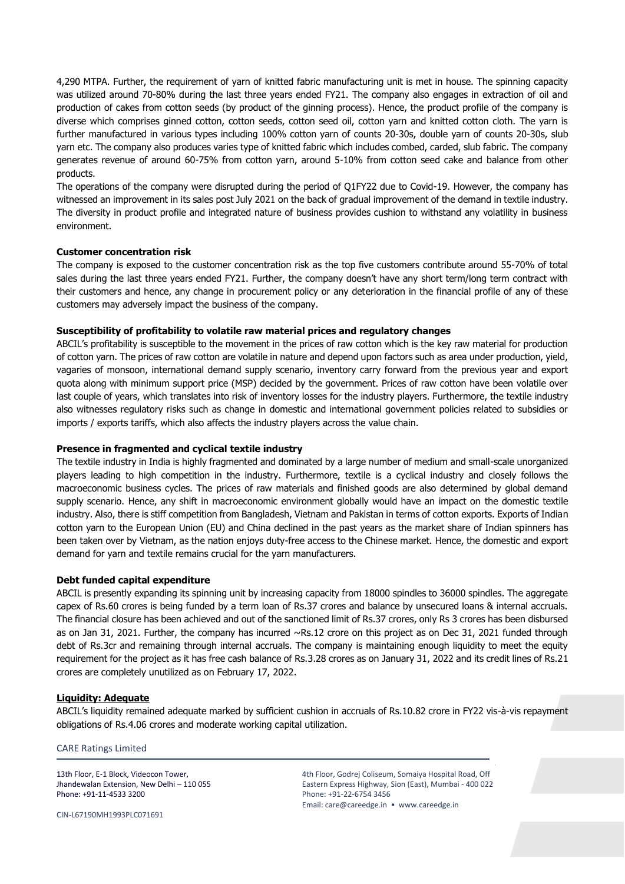4,290 MTPA. Further, the requirement of yarn of knitted fabric manufacturing unit is met in house. The spinning capacity was utilized around 70-80% during the last three years ended FY21. The company also engages in extraction of oil and production of cakes from cotton seeds (by product of the ginning process). Hence, the product profile of the company is diverse which comprises ginned cotton, cotton seeds, cotton seed oil, cotton yarn and knitted cotton cloth. The yarn is further manufactured in various types including 100% cotton yarn of counts 20-30s, double yarn of counts 20-30s, slub yarn etc. The company also produces varies type of knitted fabric which includes combed, carded, slub fabric. The company generates revenue of around 60-75% from cotton yarn, around 5-10% from cotton seed cake and balance from other products.

The operations of the company were disrupted during the period of Q1FY22 due to Covid-19. However, the company has witnessed an improvement in its sales post July 2021 on the back of gradual improvement of the demand in textile industry. The diversity in product profile and integrated nature of business provides cushion to withstand any volatility in business environment.

## **Customer concentration risk**

The company is exposed to the customer concentration risk as the top five customers contribute around 55-70% of total sales during the last three years ended FY21. Further, the company doesn't have any short term/long term contract with their customers and hence, any change in procurement policy or any deterioration in the financial profile of any of these customers may adversely impact the business of the company.

## **Susceptibility of profitability to volatile raw material prices and regulatory changes**

ABCIL's profitability is susceptible to the movement in the prices of raw cotton which is the key raw material for production of cotton yarn. The prices of raw cotton are volatile in nature and depend upon factors such as area under production, yield, vagaries of monsoon, international demand supply scenario, inventory carry forward from the previous year and export quota along with minimum support price (MSP) decided by the government. Prices of raw cotton have been volatile over last couple of years, which translates into risk of inventory losses for the industry players. Furthermore, the textile industry also witnesses regulatory risks such as change in domestic and international government policies related to subsidies or imports / exports tariffs, which also affects the industry players across the value chain.

# **Presence in fragmented and cyclical textile industry**

The textile industry in India is highly fragmented and dominated by a large number of medium and small-scale unorganized players leading to high competition in the industry. Furthermore, textile is a cyclical industry and closely follows the macroeconomic business cycles. The prices of raw materials and finished goods are also determined by global demand supply scenario. Hence, any shift in macroeconomic environment globally would have an impact on the domestic textile industry. Also, there is stiff competition from Bangladesh, Vietnam and Pakistan in terms of cotton exports. Exports of Indian cotton yarn to the European Union (EU) and China declined in the past years as the market share of Indian spinners has been taken over by Vietnam, as the nation enjoys duty-free access to the Chinese market. Hence, the domestic and export demand for yarn and textile remains crucial for the yarn manufacturers.

## **Debt funded capital expenditure**

ABCIL is presently expanding its spinning unit by increasing capacity from 18000 spindles to 36000 spindles. The aggregate capex of Rs.60 crores is being funded by a term loan of Rs.37 crores and balance by unsecured loans & internal accruals. The financial closure has been achieved and out of the sanctioned limit of Rs.37 crores, only Rs 3 crores has been disbursed as on Jan 31, 2021. Further, the company has incurred  $\sim$ Rs.12 crore on this project as on Dec 31, 2021 funded through debt of Rs.3cr and remaining through internal accruals. The company is maintaining enough liquidity to meet the equity requirement for the project as it has free cash balance of Rs.3.28 crores as on January 31, 2022 and its credit lines of Rs.21 crores are completely unutilized as on February 17, 2022.

## **Liquidity: Adequate**

ABCIL's liquidity remained adequate marked by sufficient cushion in accruals of Rs.10.82 crore in FY22 vis-à-vis repayment obligations of Rs.4.06 crores and moderate working capital utilization.

## CARE Ratings Limited

13th Floor, E-1 Block, Videocon Tower, Jhandewalan Extension, New Delhi – 110 055 Phone: +91-11-4533 3200

CIN-L67190MH1993PLC071691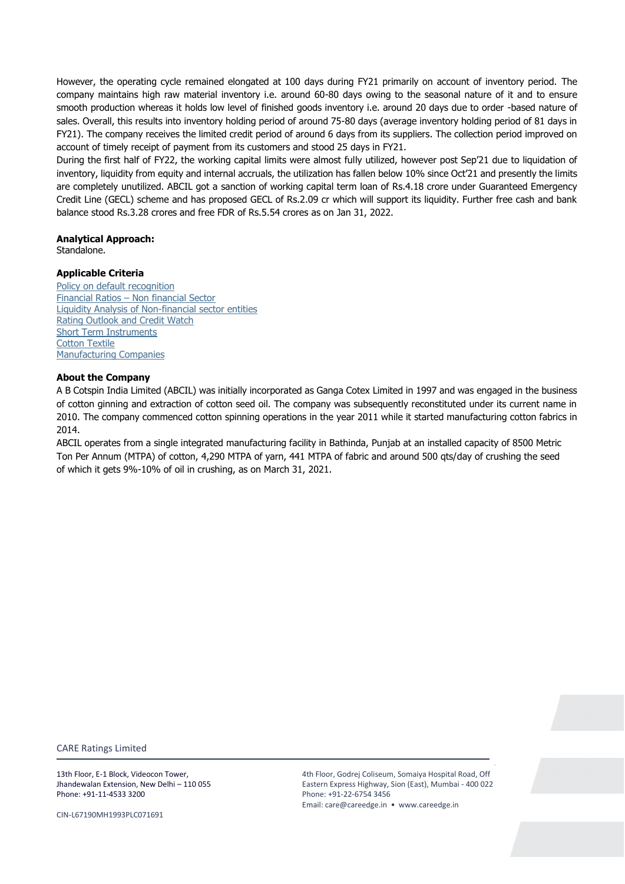However, the operating cycle remained elongated at 100 days during FY21 primarily on account of inventory period. The company maintains high raw material inventory i.e. around 60-80 days owing to the seasonal nature of it and to ensure smooth production whereas it holds low level of finished goods inventory i.e. around 20 days due to order -based nature of sales. Overall, this results into inventory holding period of around 75-80 days (average inventory holding period of 81 days in FY21). The company receives the limited credit period of around 6 days from its suppliers. The collection period improved on account of timely receipt of payment from its customers and stood 25 days in FY21.

During the first half of FY22, the working capital limits were almost fully utilized, however post Sep'21 due to liquidation of inventory, liquidity from equity and internal accruals, the utilization has fallen below 10% since Oct'21 and presently the limits are completely unutilized. ABCIL got a sanction of working capital term loan of Rs.4.18 crore under Guaranteed Emergency Credit Line (GECL) scheme and has proposed GECL of Rs.2.09 cr which will support its liquidity. Further free cash and bank balance stood Rs.3.28 crores and free FDR of Rs.5.54 crores as on Jan 31, 2022.

# **Analytical Approach:**

Standalone.

# **Applicable Criteria**

[Policy on default recognition](https://www.careratings.com/pdf/resources/CARE) Financial Ratios – [Non financial Sector](https://www.careratings.com/pdf/resources/Financial%20ratios%20-%20Non%20Financial%20Sector_March2021.pdf) [Liquidity Analysis of Non-financial sector entities](https://www.careratings.com/pdf/resources/Liquidity%20Analysis%20of%20Non%20-%20Financial%20Sector%20entities_May2020.pdf) [Rating Outlook and Credit Watch](https://www.careratings.com/pdf/resources/Rating%20Outlook%20and%20credit%20watch_May2020.pdf) [Short Term Instruments](https://www.careratings.com/upload/NewsFiles/GetRated/Short%20Term%20Instruments%20_February2021.pdf) [Cotton Textile](https://www.careratings.com/upload/NewsFiles/GetRated/Cotton_Methodology_November2020.pdf) [Manufacturing Companies](https://www.careratings.com/upload/NewsFiles/GetRated/Rating%20Methodology-Manufacturing%20Companies_December2020.pdf)

# **About the Company**

A B Cotspin India Limited (ABCIL) was initially incorporated as Ganga Cotex Limited in 1997 and was engaged in the business of cotton ginning and extraction of cotton seed oil. The company was subsequently reconstituted under its current name in 2010. The company commenced cotton spinning operations in the year 2011 while it started manufacturing cotton fabrics in 2014.

ABCIL operates from a single integrated manufacturing facility in Bathinda, Punjab at an installed capacity of 8500 Metric Ton Per Annum (MTPA) of cotton, 4,290 MTPA of yarn, 441 MTPA of fabric and around 500 qts/day of crushing the seed of which it gets 9%-10% of oil in crushing, as on March 31, 2021.

CARE Ratings Limited

13th Floor, E-1 Block, Videocon Tower, Jhandewalan Extension, New Delhi – 110 055 Phone: +91-11-4533 3200

CIN-L67190MH1993PLC071691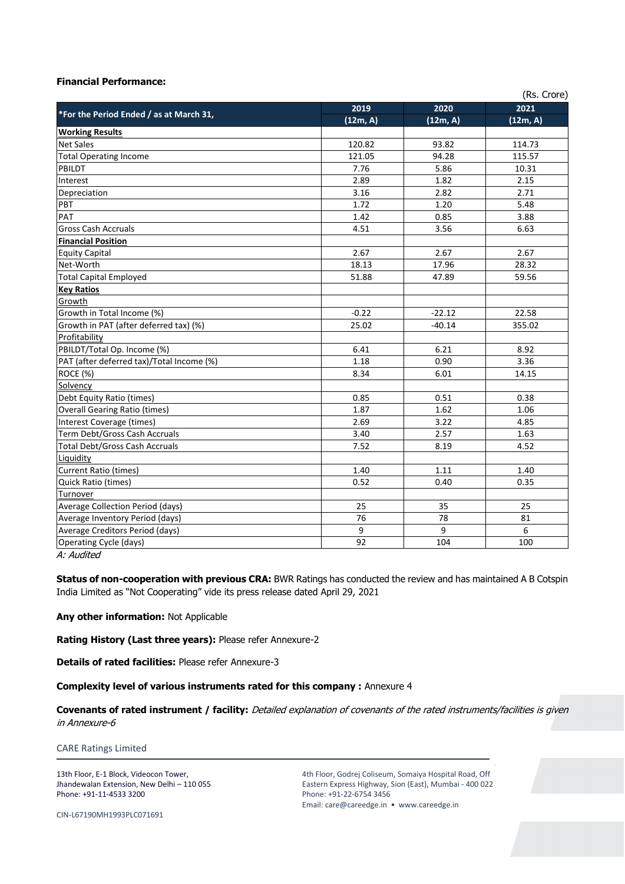# **Financial Performance:**

| 2021<br>2019<br>2020<br>*For the Period Ended / as at March 31,<br>(12m, A)<br>(12m, A)<br>(12m, A)<br>120.82<br>93.82<br>114.73<br>121.05<br>94.28<br>115.57<br>7.76<br>5.86<br>10.31<br>2.89<br>1.82<br>2.15<br>3.16<br>2.82<br>2.71<br>1.72<br>1.20<br>5.48<br>1.42<br>0.85<br>3.88<br>4.51<br>3.56<br>6.63<br>2.67<br>2.67<br>2.67<br>17.96<br>18.13<br>28.32<br>51.88<br>47.89<br>59.56<br>$-0.22$<br>$-22.12$<br>22.58<br>25.02<br>$-40.14$<br>355.02<br>6.41<br>6.21<br>8.92<br>1.18<br>3.36<br>0.90<br>8.34<br>6.01<br>14.15<br>0.85<br>0.38<br>0.51<br>1.62<br>1.87<br>1.06<br>2.69<br>3.22<br>4.85<br>3.40<br>2.57<br>1.63<br>7.52<br>8.19<br>4.52<br>1.40<br>1.11<br>1.40<br>0.52<br>0.40<br>0.35<br>25<br>35<br>25<br>76<br>78<br>81<br>9<br>9<br>6<br>92<br>104<br>100 | (Rs. Crore)                               |  |  |  |  |  |
|-------------------------------------------------------------------------------------------------------------------------------------------------------------------------------------------------------------------------------------------------------------------------------------------------------------------------------------------------------------------------------------------------------------------------------------------------------------------------------------------------------------------------------------------------------------------------------------------------------------------------------------------------------------------------------------------------------------------------------------------------------------------------------------|-------------------------------------------|--|--|--|--|--|
|                                                                                                                                                                                                                                                                                                                                                                                                                                                                                                                                                                                                                                                                                                                                                                                     |                                           |  |  |  |  |  |
|                                                                                                                                                                                                                                                                                                                                                                                                                                                                                                                                                                                                                                                                                                                                                                                     |                                           |  |  |  |  |  |
|                                                                                                                                                                                                                                                                                                                                                                                                                                                                                                                                                                                                                                                                                                                                                                                     | <b>Working Results</b>                    |  |  |  |  |  |
|                                                                                                                                                                                                                                                                                                                                                                                                                                                                                                                                                                                                                                                                                                                                                                                     | <b>Net Sales</b>                          |  |  |  |  |  |
|                                                                                                                                                                                                                                                                                                                                                                                                                                                                                                                                                                                                                                                                                                                                                                                     | <b>Total Operating Income</b>             |  |  |  |  |  |
|                                                                                                                                                                                                                                                                                                                                                                                                                                                                                                                                                                                                                                                                                                                                                                                     | PBILDT                                    |  |  |  |  |  |
|                                                                                                                                                                                                                                                                                                                                                                                                                                                                                                                                                                                                                                                                                                                                                                                     | Interest                                  |  |  |  |  |  |
|                                                                                                                                                                                                                                                                                                                                                                                                                                                                                                                                                                                                                                                                                                                                                                                     | Depreciation                              |  |  |  |  |  |
|                                                                                                                                                                                                                                                                                                                                                                                                                                                                                                                                                                                                                                                                                                                                                                                     | PBT                                       |  |  |  |  |  |
|                                                                                                                                                                                                                                                                                                                                                                                                                                                                                                                                                                                                                                                                                                                                                                                     | PAT                                       |  |  |  |  |  |
|                                                                                                                                                                                                                                                                                                                                                                                                                                                                                                                                                                                                                                                                                                                                                                                     | <b>Gross Cash Accruals</b>                |  |  |  |  |  |
|                                                                                                                                                                                                                                                                                                                                                                                                                                                                                                                                                                                                                                                                                                                                                                                     | <b>Financial Position</b>                 |  |  |  |  |  |
|                                                                                                                                                                                                                                                                                                                                                                                                                                                                                                                                                                                                                                                                                                                                                                                     | <b>Equity Capital</b>                     |  |  |  |  |  |
|                                                                                                                                                                                                                                                                                                                                                                                                                                                                                                                                                                                                                                                                                                                                                                                     | Net-Worth                                 |  |  |  |  |  |
|                                                                                                                                                                                                                                                                                                                                                                                                                                                                                                                                                                                                                                                                                                                                                                                     | <b>Total Capital Employed</b>             |  |  |  |  |  |
|                                                                                                                                                                                                                                                                                                                                                                                                                                                                                                                                                                                                                                                                                                                                                                                     | <b>Key Ratios</b>                         |  |  |  |  |  |
|                                                                                                                                                                                                                                                                                                                                                                                                                                                                                                                                                                                                                                                                                                                                                                                     | Growth                                    |  |  |  |  |  |
|                                                                                                                                                                                                                                                                                                                                                                                                                                                                                                                                                                                                                                                                                                                                                                                     | Growth in Total Income (%)                |  |  |  |  |  |
|                                                                                                                                                                                                                                                                                                                                                                                                                                                                                                                                                                                                                                                                                                                                                                                     | Growth in PAT (after deferred tax) (%)    |  |  |  |  |  |
|                                                                                                                                                                                                                                                                                                                                                                                                                                                                                                                                                                                                                                                                                                                                                                                     | Profitability                             |  |  |  |  |  |
|                                                                                                                                                                                                                                                                                                                                                                                                                                                                                                                                                                                                                                                                                                                                                                                     | PBILDT/Total Op. Income (%)               |  |  |  |  |  |
|                                                                                                                                                                                                                                                                                                                                                                                                                                                                                                                                                                                                                                                                                                                                                                                     | PAT (after deferred tax)/Total Income (%) |  |  |  |  |  |
|                                                                                                                                                                                                                                                                                                                                                                                                                                                                                                                                                                                                                                                                                                                                                                                     | ROCE (%)                                  |  |  |  |  |  |
|                                                                                                                                                                                                                                                                                                                                                                                                                                                                                                                                                                                                                                                                                                                                                                                     | Solvency                                  |  |  |  |  |  |
|                                                                                                                                                                                                                                                                                                                                                                                                                                                                                                                                                                                                                                                                                                                                                                                     | Debt Equity Ratio (times)                 |  |  |  |  |  |
|                                                                                                                                                                                                                                                                                                                                                                                                                                                                                                                                                                                                                                                                                                                                                                                     | <b>Overall Gearing Ratio (times)</b>      |  |  |  |  |  |
|                                                                                                                                                                                                                                                                                                                                                                                                                                                                                                                                                                                                                                                                                                                                                                                     | Interest Coverage (times)                 |  |  |  |  |  |
|                                                                                                                                                                                                                                                                                                                                                                                                                                                                                                                                                                                                                                                                                                                                                                                     | Term Debt/Gross Cash Accruals             |  |  |  |  |  |
|                                                                                                                                                                                                                                                                                                                                                                                                                                                                                                                                                                                                                                                                                                                                                                                     | <b>Total Debt/Gross Cash Accruals</b>     |  |  |  |  |  |
|                                                                                                                                                                                                                                                                                                                                                                                                                                                                                                                                                                                                                                                                                                                                                                                     | Liquidity                                 |  |  |  |  |  |
|                                                                                                                                                                                                                                                                                                                                                                                                                                                                                                                                                                                                                                                                                                                                                                                     | Current Ratio (times)                     |  |  |  |  |  |
|                                                                                                                                                                                                                                                                                                                                                                                                                                                                                                                                                                                                                                                                                                                                                                                     | Quick Ratio (times)                       |  |  |  |  |  |
|                                                                                                                                                                                                                                                                                                                                                                                                                                                                                                                                                                                                                                                                                                                                                                                     | Turnover                                  |  |  |  |  |  |
|                                                                                                                                                                                                                                                                                                                                                                                                                                                                                                                                                                                                                                                                                                                                                                                     | <b>Average Collection Period (days)</b>   |  |  |  |  |  |
|                                                                                                                                                                                                                                                                                                                                                                                                                                                                                                                                                                                                                                                                                                                                                                                     | Average Inventory Period (days)           |  |  |  |  |  |
|                                                                                                                                                                                                                                                                                                                                                                                                                                                                                                                                                                                                                                                                                                                                                                                     | Average Creditors Period (days)           |  |  |  |  |  |
|                                                                                                                                                                                                                                                                                                                                                                                                                                                                                                                                                                                                                                                                                                                                                                                     | Operating Cycle (days)                    |  |  |  |  |  |

A: Audited

**Status of non-cooperation with previous CRA:** BWR Ratings has conducted the review and has maintained A B Cotspin India Limited as "Not Cooperating" vide its press release dated April 29, 2021

# **Any other information:** Not Applicable

**Rating History (Last three years):** Please refer Annexure-2

**Details of rated facilities:** Please refer Annexure-3

**Complexity level of various instruments rated for this company :** Annexure 4

**Covenants of rated instrument / facility:** Detailed explanation of covenants of the rated instruments/facilities is given in Annexure-6

CARE Ratings Limited

13th Floor, E-1 Block, Videocon Tower, Jhandewalan Extension, New Delhi – 110 055 Phone: +91-11-4533 3200

4th Floor, Godrej Coliseum, Somaiya Hospital Road, Off Eastern Express Highway, Sion (East), Mumbai - 400 022 Phone: +91-22-6754 3456 Email: care@careedge.in • www.careedge.in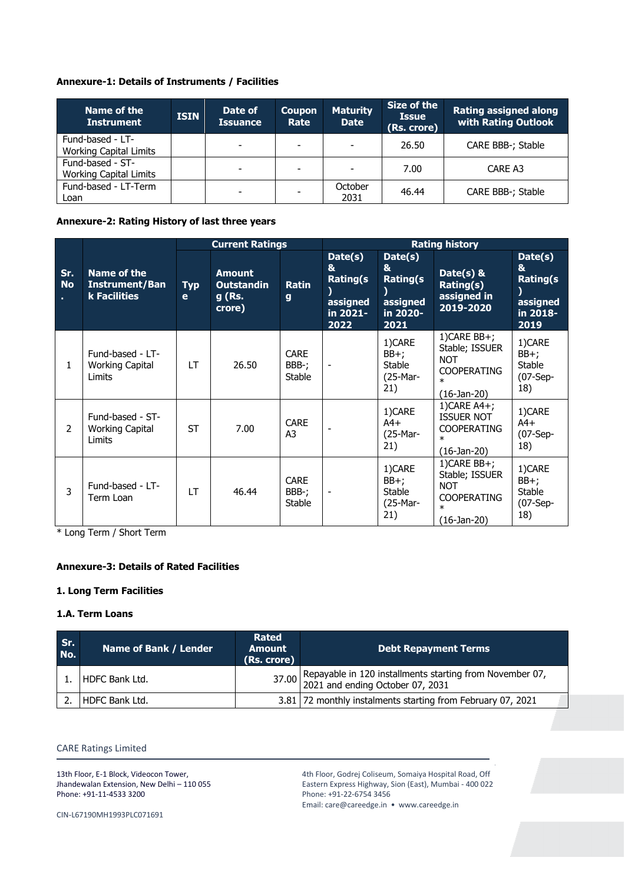# **Annexure-1: Details of Instruments / Facilities**

| Name of the<br><b>Instrument</b>                  | <b>ISIN</b> | Date of<br><b>Issuance</b> | <b>Coupon</b><br>Rate    | <b>Maturity</b><br><b>Date</b> | Size of the<br><b>Issue</b><br>(Rs. crore) | <b>Rating assigned along</b><br>with Rating Outlook |
|---------------------------------------------------|-------------|----------------------------|--------------------------|--------------------------------|--------------------------------------------|-----------------------------------------------------|
| Fund-based - LT-<br><b>Working Capital Limits</b> |             | $\overline{\phantom{0}}$   | $\overline{\phantom{0}}$ | $\overline{\phantom{0}}$       | 26.50                                      | CARE BBB-; Stable                                   |
| Fund-based - ST-<br><b>Working Capital Limits</b> |             |                            | $\overline{\phantom{a}}$ | $\overline{\phantom{0}}$       | 7.00                                       | CARE A3                                             |
| Fund-based - LT-Term<br>Loan                      |             | $\overline{\phantom{0}}$   | $\overline{\phantom{0}}$ | October<br>2031                | 46.44                                      | <b>CARE BBB-: Stable</b>                            |

**Annexure-2: Rating History of last three years**

|                  |                                                             | <b>Current Ratings</b> |                                                        |                                       | <b>Rating history</b>                                           |                                                                 |                                                                                                 |                                                                 |
|------------------|-------------------------------------------------------------|------------------------|--------------------------------------------------------|---------------------------------------|-----------------------------------------------------------------|-----------------------------------------------------------------|-------------------------------------------------------------------------------------------------|-----------------------------------------------------------------|
| Sr.<br><b>No</b> | <b>Name of the</b><br><b>Instrument/Ban</b><br>k Facilities | <b>Typ</b><br>e        | <b>Amount</b><br><b>Outstandin</b><br>g (Rs.<br>crore) | <b>Ratin</b><br>g                     | Date(s)<br>&<br><b>Rating(s</b><br>assigned<br>in 2021-<br>2022 | Date(s)<br>&<br><b>Rating(s</b><br>assigned<br>in 2020-<br>2021 | Date( $s$ ) &<br>Rating(s)<br>assigned in<br>2019-2020                                          | Date(s)<br>&<br><b>Rating(s</b><br>assigned<br>in 2018-<br>2019 |
| $\mathbf{1}$     | Fund-based - LT-<br><b>Working Capital</b><br>Limits        | LT.                    | 26.50                                                  | <b>CARE</b><br>BBB-;<br>Stable        | $\overline{\phantom{a}}$                                        | 1)CARE<br>BB+;<br>Stable<br>(25-Mar-<br>21)                     | $1)$ CARE BB+;<br>Stable; ISSUER<br><b>NOT</b><br><b>COOPERATING</b><br>$\ast$<br>(16-Jan-20)   | 1)CARE<br>BB+;<br>Stable<br>$(07-Sep-$<br>18)                   |
| 2                | Fund-based - ST-<br><b>Working Capital</b><br>Limits        | <b>ST</b>              | 7.00                                                   | <b>CARE</b><br>A3                     |                                                                 | 1)CARE<br>$A4+$<br>(25-Mar-<br>21)                              | 1) CARE $A4+$ ;<br><b>ISSUER NOT</b><br><b>COOPERATING</b><br>$\ast$<br>$(16 - Jan - 20)$       | 1)CARE<br>$A4+$<br>$(07-Sep-$<br>18)                            |
| 3                | Fund-based - LT-<br>Term Loan                               | LT                     | 46.44                                                  | <b>CARE</b><br>BBB-;<br><b>Stable</b> |                                                                 | 1)CARE<br>BB+;<br>Stable<br>(25-Mar-<br>21)                     | $1)$ CARE BB+;<br>Stable; ISSUER<br><b>NOT</b><br><b>COOPERATING</b><br>$\ast$<br>$(16-Jan-20)$ | 1)CARE<br>$BB+;$<br>Stable<br>$(07-Sep-$<br>18)                 |

\* Long Term / Short Term

# **Annexure-3: Details of Rated Facilities**

# **1. Long Term Facilities**

# **1.A. Term Loans**

| Sr.<br>No. | Name of Bank / Lender | <b>Rated</b><br><b>Amount</b><br>(Rs. crore) | <b>Debt Repayment Terms</b>                                                                        |
|------------|-----------------------|----------------------------------------------|----------------------------------------------------------------------------------------------------|
|            | HDFC Bank Ltd.        |                                              | 37.00 Repayable in 120 installments starting from November 07,<br>2021 and ending October 07, 2031 |
|            | HDFC Bank Ltd.        |                                              | 3.81 72 monthly instalments starting from February 07, 2021                                        |

# CARE Ratings Limited

13th Floor, E-1 Block, Videocon Tower, Jhandewalan Extension, New Delhi – 110 055 Phone: +91-11-4533 3200

4th Floor, Godrej Coliseum, Somaiya Hospital Road, Off Eastern Express Highway, Sion (East), Mumbai - 400 022 Phone: +91-22-6754 3456 Email: care@careedge.in • www.careedge.in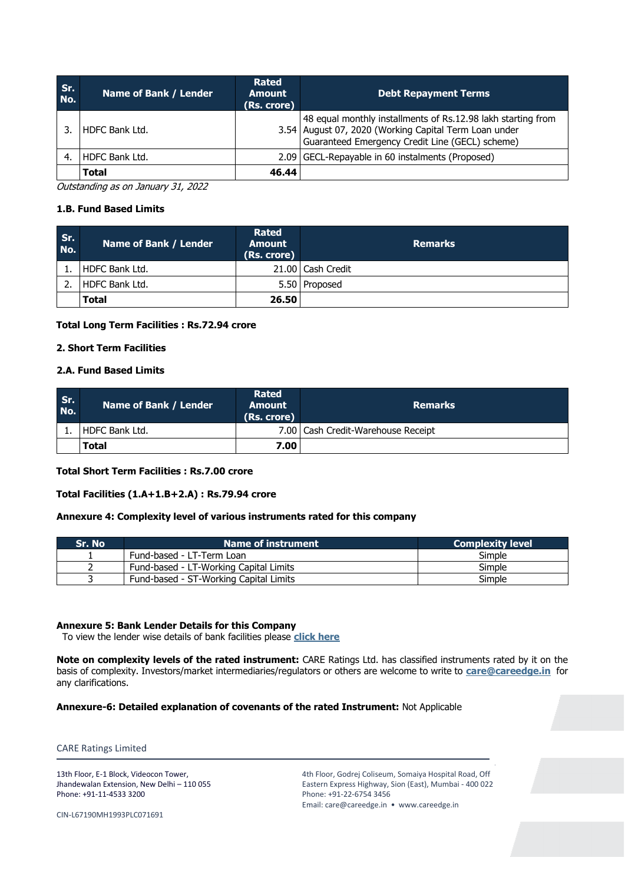| Sr.<br>No. | Name of Bank / Lender | <b>Rated</b><br><b>Amount</b><br>(Rs. crore) | <b>Debt Repayment Terms</b>                                                                                                                                              |
|------------|-----------------------|----------------------------------------------|--------------------------------------------------------------------------------------------------------------------------------------------------------------------------|
|            | HDFC Bank Ltd.        |                                              | 48 equal monthly installments of Rs.12.98 lakh starting from<br>3.54 August 07, 2020 (Working Capital Term Loan under<br>Guaranteed Emergency Credit Line (GECL) scheme) |
|            | HDFC Bank Ltd.        |                                              | 2.09 GECL-Repayable in 60 instalments (Proposed)                                                                                                                         |
|            | <b>Total</b>          | 46.44                                        |                                                                                                                                                                          |

Outstanding as on January 31, 2022

# **1.B. Fund Based Limits**

| Sr.<br>No. | Name of Bank / Lender | <b>Rated</b><br><b>Amount</b><br>(Rs. crore) | <b>Remarks</b>      |
|------------|-----------------------|----------------------------------------------|---------------------|
|            | HDFC Bank Ltd.        |                                              | 21.00   Cash Credit |
|            | HDFC Bank Ltd.        |                                              | 5.50   Proposed     |
|            | Total                 | 26.50                                        |                     |

## **Total Long Term Facilities : Rs.72.94 crore**

# **2. Short Term Facilities**

## **2.A. Fund Based Limits**

| Sr.<br>No. | Name of Bank / Lender | Rated<br><b>Amount</b><br>(Rs. crore) | <b>Remarks</b>                       |
|------------|-----------------------|---------------------------------------|--------------------------------------|
|            | HDFC Bank Ltd.        |                                       | 7.00   Cash Credit-Warehouse Receipt |
|            | <b>Total</b>          | 7.00                                  |                                      |

## **Total Short Term Facilities : Rs.7.00 crore**

## **Total Facilities (1.A+1.B+2.A) : Rs.79.94 crore**

# **Annexure 4: Complexity level of various instruments rated for this company**

| Sr. No | Name of instrument                     | <b>Complexity level</b> |
|--------|----------------------------------------|-------------------------|
|        | Fund-based - LT-Term Loan              | Simple                  |
|        | Fund-based - LT-Working Capital Limits | Simple                  |
|        | Fund-based - ST-Working Capital Limits | Simple                  |

# **Annexure 5: Bank Lender Details for this Company**

To view the lender wise details of bank facilities please **[click here](https://www.careratings.com/Bankdetails.aspx?Id=29Cayj6nk29tPL3yG/qZaQ==)**

**Note on complexity levels of the rated instrument:** CARE Ratings Ltd. has classified instruments rated by it on the basis of complexity. Investors/market intermediaries/regulators or others are welcome to write to **[care@careedge.in](mailto:care@careedge.in)** for any clarifications.

**Annexure-6: Detailed explanation of covenants of the rated Instrument:** Not Applicable

CARE Ratings Limited

13th Floor, E-1 Block, Videocon Tower, Jhandewalan Extension, New Delhi – 110 055 Phone: +91-11-4533 3200

4th Floor, Godrej Coliseum, Somaiya Hospital Road, Off Eastern Express Highway, Sion (East), Mumbai - 400 022 Phone: +91-22-6754 3456 Email: care@careedge.in • www.careedge.in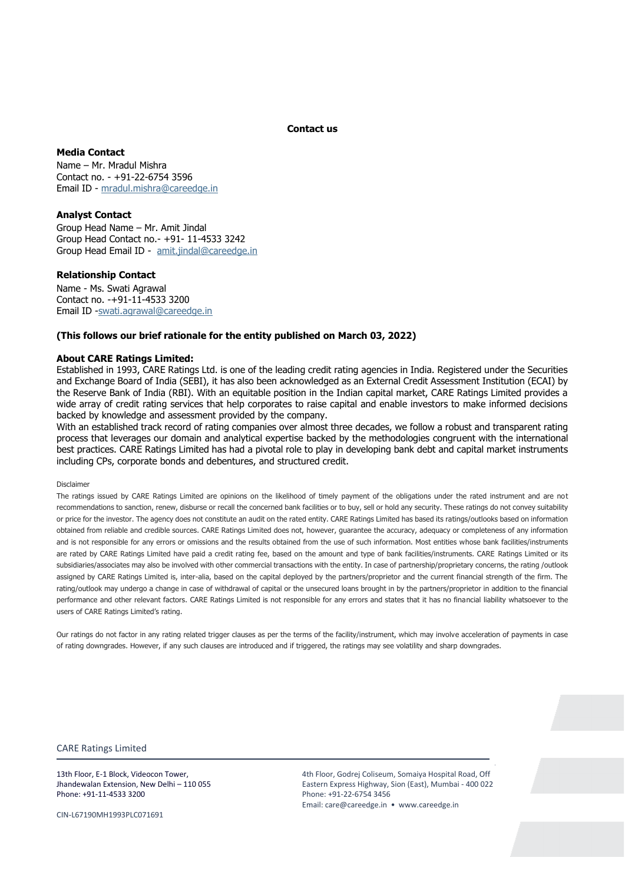**Contact us**

## **Media Contact**

Name – Mr. Mradul Mishra Contact no. - +91-22-6754 3596 Email ID - [mradul.mishra@careedge.in](mailto:mradul.mishra@careedge.in)

## **Analyst Contact**

Group Head Name – Mr. Amit Jindal Group Head Contact no.- +91- 11-4533 3242 Group Head Email ID - [amit.jindal@careedge.in](mailto:amit.jindal@careedge.in)

## **Relationship Contact**

Name - Ms. Swati Agrawal Contact no. -+91-11-4533 3200 Email ID [-swati.agrawal@careedge.in](mailto:swati.agrawal@careedge.in)

## **(This follows our brief rationale for the entity published on March 03, 2022)**

### **About CARE Ratings Limited:**

Established in 1993, CARE Ratings Ltd. is one of the leading credit rating agencies in India. Registered under the Securities and Exchange Board of India (SEBI), it has also been acknowledged as an External Credit Assessment Institution (ECAI) by the Reserve Bank of India (RBI). With an equitable position in the Indian capital market, CARE Ratings Limited provides a wide array of credit rating services that help corporates to raise capital and enable investors to make informed decisions backed by knowledge and assessment provided by the company.

With an established track record of rating companies over almost three decades, we follow a robust and transparent rating process that leverages our domain and analytical expertise backed by the methodologies congruent with the international best practices. CARE Ratings Limited has had a pivotal role to play in developing bank debt and capital market instruments including CPs, corporate bonds and debentures, and structured credit.

#### Disclaimer

The ratings issued by CARE Ratings Limited are opinions on the likelihood of timely payment of the obligations under the rated instrument and are not recommendations to sanction, renew, disburse or recall the concerned bank facilities or to buy, sell or hold any security. These ratings do not convey suitability or price for the investor. The agency does not constitute an audit on the rated entity. CARE Ratings Limited has based its ratings/outlooks based on information obtained from reliable and credible sources. CARE Ratings Limited does not, however, guarantee the accuracy, adequacy or completeness of any information and is not responsible for any errors or omissions and the results obtained from the use of such information. Most entities whose bank facilities/instruments are rated by CARE Ratings Limited have paid a credit rating fee, based on the amount and type of bank facilities/instruments. CARE Ratings Limited or its subsidiaries/associates may also be involved with other commercial transactions with the entity. In case of partnership/proprietary concerns, the rating /outlook assigned by CARE Ratings Limited is, inter-alia, based on the capital deployed by the partners/proprietor and the current financial strength of the firm. The rating/outlook may undergo a change in case of withdrawal of capital or the unsecured loans brought in by the partners/proprietor in addition to the financial performance and other relevant factors. CARE Ratings Limited is not responsible for any errors and states that it has no financial liability whatsoever to the users of CARE Ratings Limited's rating.

Our ratings do not factor in any rating related trigger clauses as per the terms of the facility/instrument, which may involve acceleration of payments in case of rating downgrades. However, if any such clauses are introduced and if triggered, the ratings may see volatility and sharp downgrades.

#### CARE Ratings Limited

13th Floor, E-1 Block, Videocon Tower, Jhandewalan Extension, New Delhi – 110 055 Phone: +91-11-4533 3200

CIN-L67190MH1993PLC071691